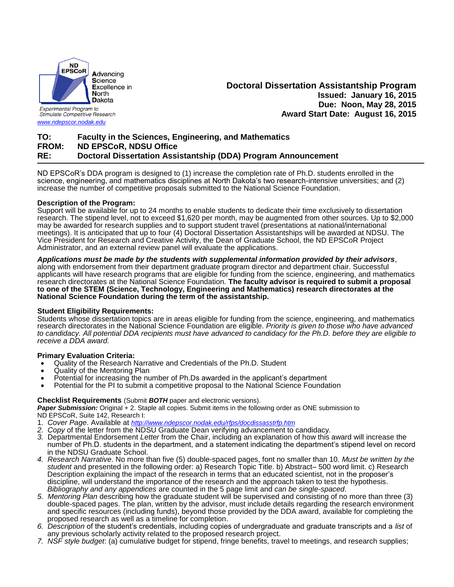

Stimulate Competitive Research

*[www.ndepscor.nodak.edu](http://www.ndepscor.nodak.edu/)*

# **Doctoral Dissertation Assistantship Program Issued: January 16, 2015 Due: Noon, May 28, 2015 Award Start Date: August 16, 2015**

# **TO: Faculty in the Sciences, Engineering, and Mathematics FROM: ND EPSCoR, NDSU Office RE: Doctoral Dissertation Assistantship (DDA) Program Announcement**

ND EPSCoR's DDA program is designed to (1) increase the completion rate of Ph.D. students enrolled in the science, engineering, and mathematics disciplines at North Dakota's two research-intensive universities; and (2) increase the number of competitive proposals submitted to the National Science Foundation.

## **Description of the Program:**

Support will be available for up to 24 months to enable students to dedicate their time exclusively to dissertation research. The stipend level, not to exceed \$1,620 per month, may be augmented from other sources. Up to \$2,000 may be awarded for research supplies and to support student travel (presentations at national/international meetings). It is anticipated that up to four (4) Doctoral Dissertation Assistantships will be awarded at NDSU. The Vice President for Research and Creative Activity, the Dean of Graduate School, the ND EPSCoR Project Administrator, and an external review panel will evaluate the applications.

## *Applications must be made by the students with supplemental information provided by their advisors*,

along with endorsement from their department graduate program director and department chair. Successful applicants will have research programs that are eligible for funding from the science, engineering, and mathematics research directorates at the National Science Foundation. **The faculty advisor is required to submit a proposal to one of the STEM (Science, Technology, Engineering and Mathematics) research directorates at the National Science Foundation during the term of the assistantship.**

## **Student Eligibility Requirements:**

Students whose dissertation topics are in areas eligible for funding from the science, engineering, and mathematics research directorates in the National Science Foundation are eligible. *Priority is given to those who have advanced to candidacy. All potential DDA recipients must have advanced to candidacy for the Ph.D. before they are eligible to receive a DDA award.*

## **Primary Evaluation Criteria:**

- Quality of the Research Narrative and Credentials of the Ph.D. Student
- Quality of the Mentoring Plan
- Potential for increasing the number of Ph.Ds awarded in the applicant's department
- Potential for the PI to submit a competitive proposal to the National Science Foundation

#### **Checklist Requirements** (Submit *BOTH* paper and electronic versions).

*Paper Submission:* Original + 2. Staple all copies. Submit items in the following order as ONE submission to ND EPSCoR, Suite 142, Research I:

- 1. *Cover Page*. Available at *<http://www.ndepscor.nodak.edu/rfps/docdissasstrfp.htm>*
- *2. Copy* of the letter from the NDSU Graduate Dean verifying advancement to candidacy.
- *3.* Departmental Endorsement *Letter* from the Chair, including an explanation of how this award will increase the number of Ph.D. students in the department, and a statement indicating the department's stipend level on record in the NDSU Graduate School.
- *4. Research Narrative*. No more than five (5) double-spaced pages, font no smaller than 10. *Must be written by the student* and presented in the following order: a) Research Topic Title. b) Abstract– 500 word limit. c) Research Description explaining the impact of the research in terms that an educated scientist, not in the proposer's discipline, will understand the importance of the research and the approach taken to test the hypothesis. *Bibliography and any appendices* are counted in the 5 page limit and *can be single-spaced*.
- *5. Mentoring Plan* describing how the graduate student will be supervised and consisting of no more than three (3) double-spaced pages. The plan, written by the advisor, must include details regarding the research environment and specific resources (including funds), beyond those provided by the DDA award, available for completing the proposed research as well as a timeline for completion.
- *6. Description* of the student's credentials, including copies of undergraduate and graduate transcripts and a *list* of any previous scholarly activity related to the proposed research project.
- *7. NSF style budget*: (a) cumulative budget for stipend, fringe benefits, travel to meetings, and research supplies;